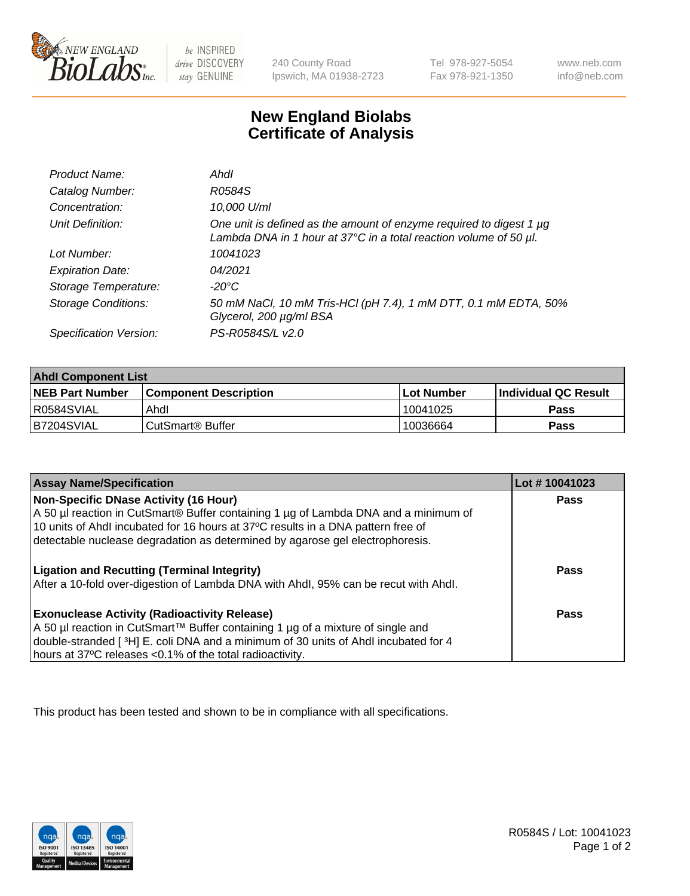

be INSPIRED drive DISCOVERY stay GENUINE

240 County Road Ipswich, MA 01938-2723 Tel 978-927-5054 Fax 978-921-1350

www.neb.com info@neb.com

## **New England Biolabs Certificate of Analysis**

| Product Name:              | Ahdl                                                                                                                                     |
|----------------------------|------------------------------------------------------------------------------------------------------------------------------------------|
| Catalog Number:            | R0584S                                                                                                                                   |
| Concentration:             | 10,000 U/ml                                                                                                                              |
| Unit Definition:           | One unit is defined as the amount of enzyme required to digest 1 µg<br>Lambda DNA in 1 hour at 37°C in a total reaction volume of 50 µl. |
| Lot Number:                | 10041023                                                                                                                                 |
| <b>Expiration Date:</b>    | 04/2021                                                                                                                                  |
| Storage Temperature:       | -20°C                                                                                                                                    |
| <b>Storage Conditions:</b> | 50 mM NaCl, 10 mM Tris-HCl (pH 7.4), 1 mM DTT, 0.1 mM EDTA, 50%<br>Glycerol, 200 µg/ml BSA                                               |
| Specification Version:     | PS-R0584S/L v2.0                                                                                                                         |

| <b>Ahdl Component List</b> |                              |              |                             |  |
|----------------------------|------------------------------|--------------|-----------------------------|--|
| <b>NEB Part Number</b>     | <b>Component Description</b> | l Lot Number | <b>Individual QC Result</b> |  |
| R0584SVIAL                 | Ahdl                         | 10041025     | Pass                        |  |
| B7204SVIAL                 | l CutSmart® Buffer           | 10036664     | Pass                        |  |

| <b>Assay Name/Specification</b>                                                     | Lot #10041023 |
|-------------------------------------------------------------------------------------|---------------|
| Non-Specific DNase Activity (16 Hour)                                               | Pass          |
| A 50 µl reaction in CutSmart® Buffer containing 1 µg of Lambda DNA and a minimum of |               |
| 10 units of Ahdl incubated for 16 hours at 37°C results in a DNA pattern free of    |               |
| detectable nuclease degradation as determined by agarose gel electrophoresis.       |               |
| <b>Ligation and Recutting (Terminal Integrity)</b>                                  | Pass          |
| After a 10-fold over-digestion of Lambda DNA with Ahdl, 95% can be recut with Ahdl. |               |
| <b>Exonuclease Activity (Radioactivity Release)</b>                                 | Pass          |
| A 50 µl reaction in CutSmart™ Buffer containing 1 µg of a mixture of single and     |               |
| double-stranded [3H] E. coli DNA and a minimum of 30 units of Ahdl incubated for 4  |               |
| hours at 37°C releases <0.1% of the total radioactivity.                            |               |

This product has been tested and shown to be in compliance with all specifications.